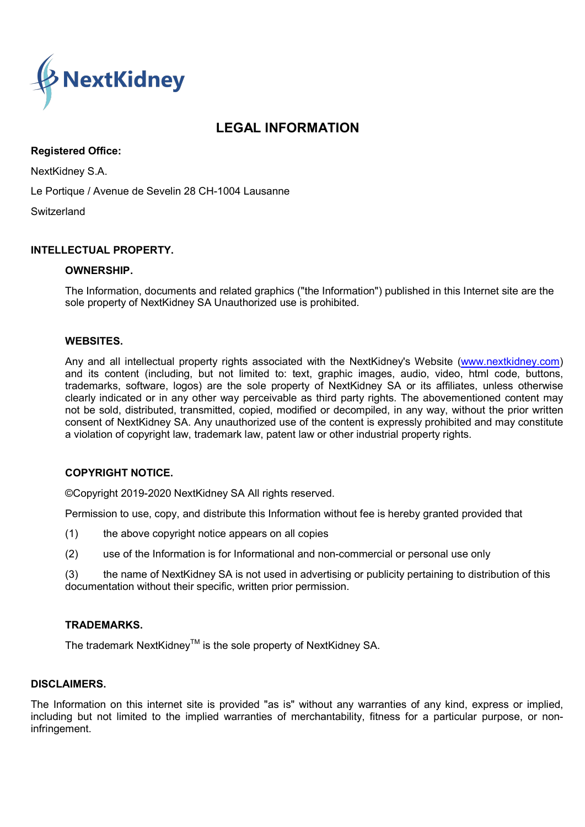

# LEGAL INFORMATION

## Registered Office:

NextKidney S.A.

Le Portique / Avenue de Sevelin 28 CH-1004 Lausanne

**Switzerland** 

# INTELLECTUAL PROPERTY.

#### OWNERSHIP.

The Information, documents and related graphics ("the Information") published in this Internet site are the sole property of NextKidney SA Unauthorized use is prohibited.

#### WEBSITES.

Any and all intellectual property rights associated with the NextKidney's Website (www.nextkidney.com) and its content (including, but not limited to: text, graphic images, audio, video, html code, buttons, trademarks, software, logos) are the sole property of NextKidney SA or its affiliates, unless otherwise clearly indicated or in any other way perceivable as third party rights. The abovementioned content may not be sold, distributed, transmitted, copied, modified or decompiled, in any way, without the prior written consent of NextKidney SA. Any unauthorized use of the content is expressly prohibited and may constitute a violation of copyright law, trademark law, patent law or other industrial property rights.

#### COPYRIGHT NOTICE.

©Copyright 2019-2020 NextKidney SA All rights reserved.

Permission to use, copy, and distribute this Information without fee is hereby granted provided that

- (1) the above copyright notice appears on all copies
- (2) use of the Information is for Informational and non-commercial or personal use only

(3) the name of NextKidney SA is not used in advertising or publicity pertaining to distribution of this documentation without their specific, written prior permission.

#### TRADEMARKS.

The trademark NextKidney™ is the sole property of NextKidnev SA.

#### DISCLAIMERS.

The Information on this internet site is provided "as is" without any warranties of any kind, express or implied, including but not limited to the implied warranties of merchantability, fitness for a particular purpose, or noninfringement.